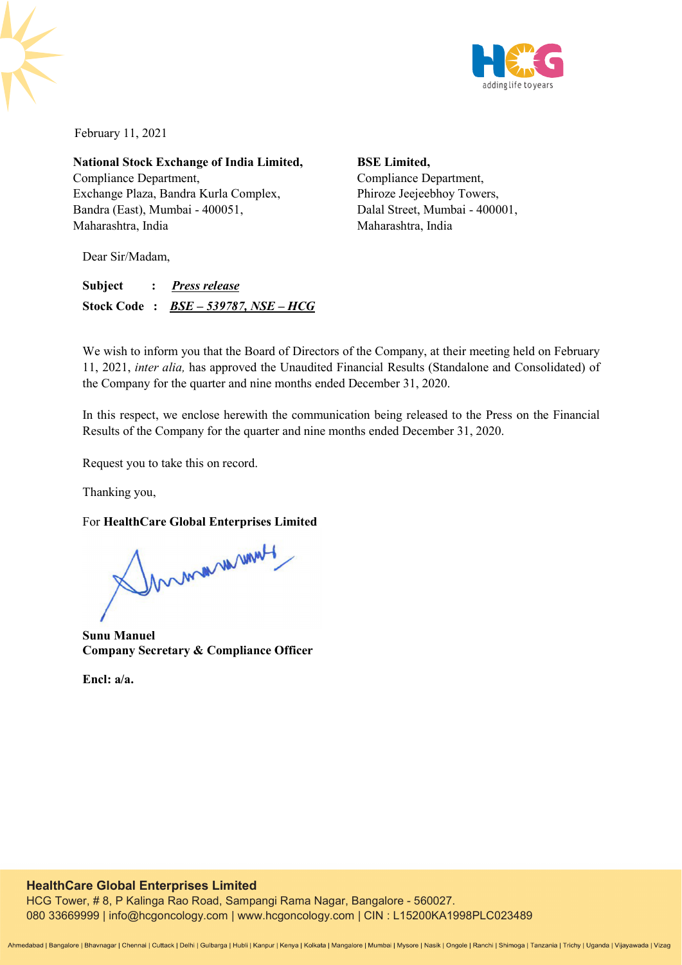

February 11, 2021

**National Stock Exchange of India Limited,**  Compliance Department, Exchange Plaza, Bandra Kurla Complex, Bandra (East), Mumbai - 400051, Maharashtra, India

**BSE Limited,**  Compliance Department, Phiroze Jeejeebhoy Towers, Dalal Street, Mumbai - 400001, Maharashtra, India

Dear Sir/Madam,

**Subject :** *Press release* **Stock Code :** *BSE – 539787, NSE – HCG*

We wish to inform you that the Board of Directors of the Company, at their meeting held on February 11, 2021, *inter alia,* has approved the Unaudited Financial Results (Standalone and Consolidated) of the Company for the quarter and nine months ended December 31, 2020.

In this respect, we enclose herewith the communication being released to the Press on the Financial Results of the Company for the quarter and nine months ended December 31, 2020.

Request you to take this on record.

Thanking you,

For **HealthCare Global Enterprises Limited** 

Mummmunt

**Sunu Manuel Company Secretary & Compliance Officer** 

**Encl: a/a.**

## **HealthCare Global Enterprises Limited**

HCG Tower, # 8, P Kalinga Rao Road, Sampangi Rama Nagar, Bangalore - 560027. 080 33669999 | info@hcgoncology.com | www.hcgoncology.com | CIN : L15200KA1998PLC023489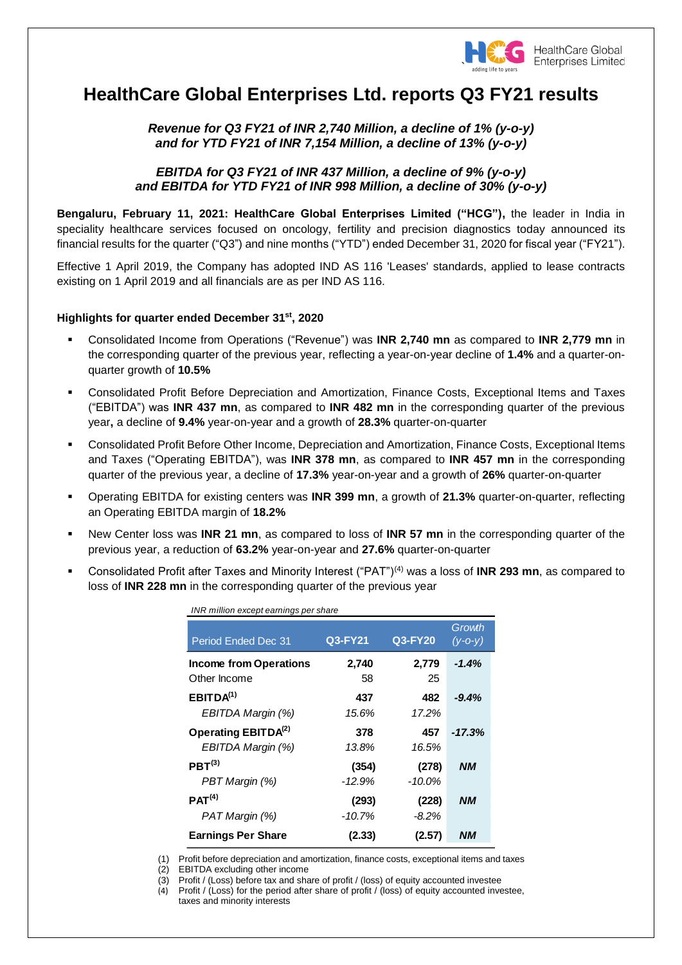

# **HealthCare Global Enterprises Ltd. reports Q3 FY21 results**

*Revenue for Q3 FY21 of INR 2,740 Million, a decline of 1% (y-o-y) and for YTD FY21 of INR 7,154 Million, a decline of 13% (y-o-y)*

## *EBITDA for Q3 FY21 of INR 437 Million, a decline of 9% (y-o-y) and EBITDA for YTD FY21 of INR 998 Million, a decline of 30% (y-o-y)*

**Bengaluru, February 11, 2021: HealthCare Global Enterprises Limited ("HCG"),** the leader in India in speciality healthcare services focused on oncology, fertility and precision diagnostics today announced its financial results for the quarter ("Q3") and nine months ("YTD") ended December 31, 2020 for fiscal year ("FY21").

Effective 1 April 2019, the Company has adopted IND AS 116 'Leases' standards, applied to lease contracts existing on 1 April 2019 and all financials are as per IND AS 116.

## **Highlights for quarter ended December 31 st , 2020**

- Consolidated Income from Operations ("Revenue") was **INR 2,740 mn** as compared to **INR 2,779 mn** in the corresponding quarter of the previous year, reflecting a year-on-year decline of **1.4%** and a quarter-onquarter growth of **10.5%**
- Consolidated Profit Before Depreciation and Amortization, Finance Costs, Exceptional Items and Taxes ("EBITDA") was **INR 437 mn**, as compared to **INR 482 mn** in the corresponding quarter of the previous year**,** a decline of **9.4%** year-on-year and a growth of **28.3%** quarter-on-quarter
- Consolidated Profit Before Other Income, Depreciation and Amortization, Finance Costs, Exceptional Items and Taxes ("Operating EBITDA"), was **INR 378 mn**, as compared to **INR 457 mn** in the corresponding quarter of the previous year, a decline of **17.3%** year-on-year and a growth of **26%** quarter-on-quarter
- Operating EBITDA for existing centers was **INR 399 mn**, a growth of **21.3%** quarter-on-quarter, reflecting an Operating EBITDA margin of **18.2%**
- New Center loss was **INR 21 mn**, as compared to loss of **INR 57 mn** in the corresponding quarter of the previous year, a reduction of **63.2%** year-on-year and **27.6%** quarter-on-quarter
- Consolidated Profit after Taxes and Minority Interest ("PAT")(4) was a loss of **INR 293 mn**, as compared to loss of **INR 228 mn** in the corresponding quarter of the previous year

| INR million except earnings per share<br><b>Period Ended Dec 31</b> | Q3-FY21  | Q3-FY20   | Growth<br>$(y - 0 - y)$ |
|---------------------------------------------------------------------|----------|-----------|-------------------------|
| <b>Income from Operations</b>                                       | 2,740    | 2,779     | $-1.4%$                 |
| Other Income                                                        | 58       | 25        |                         |
| EBITDA <sup>(1)</sup>                                               | 437      | 482       | $-9.4%$                 |
| EBITDA Margin (%)                                                   | 15.6%    | 17.2%     |                         |
| Operating EBITDA <sup>(2)</sup>                                     | 378      | 457       | $-17.3%$                |
| EBITDA Margin (%)                                                   | 13.8%    | 16.5%     |                         |
| PBT <sup>(3)</sup>                                                  | (354)    | (278)     | <b>NM</b>               |
| PBT Margin (%)                                                      | $-12.9%$ | $-10.0\%$ |                         |
| PAT <sup>(4)</sup>                                                  | (293)    | (228)     | <b>NM</b>               |
| PAT Margin (%)                                                      | $-10.7%$ | -8.2%     |                         |
| <b>Earnings Per Share</b>                                           | (2.33)   | (2.57)    | NМ                      |

(1) Profit before depreciation and amortization, finance costs, exceptional items and taxes

(2) EBITDA excluding other income

(3) Profit / (Loss) before tax and share of profit / (loss) of equity accounted investee

(4) Profit / (Loss) for the period after share of profit / (loss) of equity accounted investee, taxes and minority interests